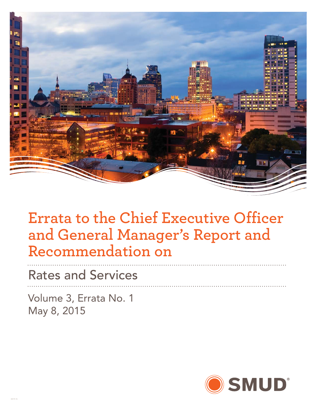

### **Errata to the Chief Executive Officer and General Manager's Report and Recommendation on**

Rates and Services

Volume 3, Errata No. 1 May 8, 2015

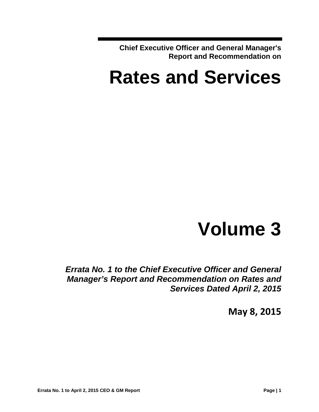**Chief Executive Officer and General Manager's Report and Recommendation on** 

# **Rates and Services**

# **Volume 3**

*Errata No. 1 to the Chief Executive Officer and General Manager's Report and Recommendation on Rates and Services Dated April 2, 2015* 

**May 8, 2015**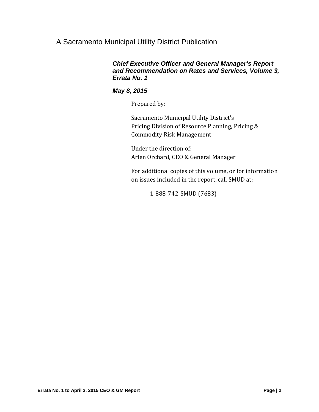#### A Sacramento Municipal Utility District Publication

#### *Chief Executive Officer and General Manager's Report and Recommendation on Rates and Services, Volume 3, Errata No. 1*

#### *May 8, 2015*

Prepared by:

Sacramento Municipal Utility District's Pricing Division of Resource Planning, Pricing & Commodity Risk Management 

Under the direction of: Arlen Orchard, CEO & General Manager

For additional copies of this volume, or for information on issues included in the report, call SMUD at:

 1‐888‐742‐SMUD (7683)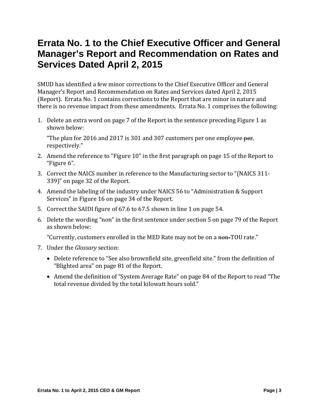### **Errata No. 1 to the Chief Executive Officer and General Manager's Report and Recommendation on Rates and Services Dated April 2, 2015**

SMUD has identified a few minor corrections to the Chief Executive Officer and General Manager's Report and Recommendation on Rates and Services dated April 2, 2015 (Report). Errata No. 1 contains corrections to the Report that are minor in nature and there is no revenue impact from these amendments. Errata No. 1 comprises the following:

1. Delete an extra word on page 7 of the Report in the sentence preceding Figure 1 as shown below:

"The plan for 2016 and 2017 is 301 and 307 customers per one employee per, respectively." 

- 2. Amend the reference to "Figure 10" in the first paragraph on page 15 of the Report to "Figure 6".
- 3. Correct the NAICS number in reference to the Manufacturing sector to "(NAICS 311-339)" on page 32 of the Report.
- 4. Amend the labeling of the industry under NAICS 56 to "Administration & Support Services" in Figure 16 on page 34 of the Report.
- 5. Correct the SAIDI figure of 67.6 to 67.5 shown in line 1 on page 54.
- 6. Delete the wording "non" in the first sentence under section 5 on page 79 of the Report as shown below:

"Currently, customers enrolled in the MED Rate may not be on a non-TOU rate."

- 7. Under the *Glossary* section:
	- Delete reference to "See also brownfield site, greenfield site." from the definition of "Blighted area" on page 81 of the Report.
	- Amend the definition of "System Average Rate" on page 84 of the Report to read "The total revenue divided by the total kilowatt hours sold."